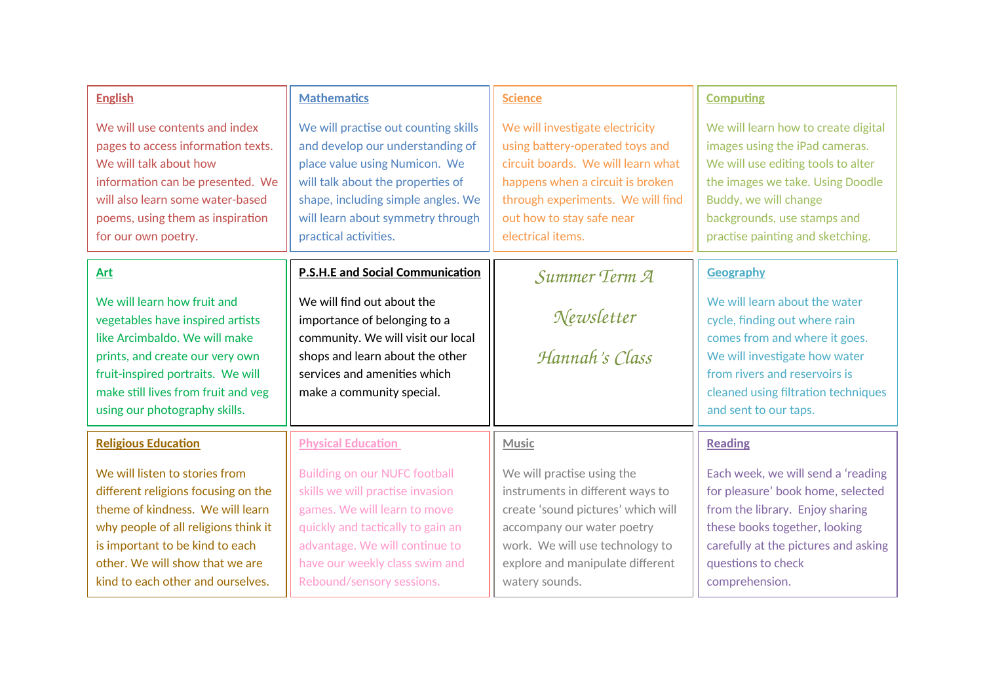| <b>English</b>                                                                                                                                                                                                                                               | <b>Mathematics</b>                                                                                                                                                                                                                                 | <b>Science</b>                                                                                                                                                                                                                      | <b>Computing</b>                                                                                                                                                                                                                            |
|--------------------------------------------------------------------------------------------------------------------------------------------------------------------------------------------------------------------------------------------------------------|----------------------------------------------------------------------------------------------------------------------------------------------------------------------------------------------------------------------------------------------------|-------------------------------------------------------------------------------------------------------------------------------------------------------------------------------------------------------------------------------------|---------------------------------------------------------------------------------------------------------------------------------------------------------------------------------------------------------------------------------------------|
| We will use contents and index<br>pages to access information texts.<br>We will talk about how<br>information can be presented. We<br>will also learn some water-based<br>poems, using them as inspiration<br>for our own poetry.                            | We will practise out counting skills<br>and develop our understanding of<br>place value using Numicon. We<br>will talk about the properties of<br>shape, including simple angles. We<br>will learn about symmetry through<br>practical activities. | We will investigate electricity<br>using battery-operated toys and<br>circuit boards. We will learn what<br>happens when a circuit is broken<br>through experiments. We will find<br>out how to stay safe near<br>electrical items. | We will learn how to create digital<br>images using the iPad cameras.<br>We will use editing tools to alter<br>the images we take. Using Doodle<br>Buddy, we will change<br>backgrounds, use stamps and<br>practise painting and sketching. |
| <b>Art</b>                                                                                                                                                                                                                                                   | <b>P.S.H.E and Social Communication</b>                                                                                                                                                                                                            | Summer Term A                                                                                                                                                                                                                       | Geography                                                                                                                                                                                                                                   |
| We will learn how fruit and<br>vegetables have inspired artists<br>like Arcimbaldo. We will make<br>prints, and create our very own<br>fruit-inspired portraits. We will<br>make still lives from fruit and veg<br>using our photography skills.             | We will find out about the<br>importance of belonging to a<br>community. We will visit our local<br>shops and learn about the other<br>services and amenities which<br>make a community special.                                                   | Newsletter<br>Hannah's Class                                                                                                                                                                                                        | We will learn about the water<br>cycle, finding out where rain<br>comes from and where it goes.<br>We will investigate how water<br>from rivers and reservoirs is<br>cleaned using filtration techniques<br>and sent to our taps.           |
| <b>Religious Education</b>                                                                                                                                                                                                                                   | <b>Physical Education</b>                                                                                                                                                                                                                          | <b>Music</b>                                                                                                                                                                                                                        | <b>Reading</b>                                                                                                                                                                                                                              |
| We will listen to stories from<br>different religions focusing on the<br>theme of kindness. We will learn<br>why people of all religions think it<br>is important to be kind to each<br>other. We will show that we are<br>kind to each other and ourselves. | <b>Building on our NUFC football</b><br>skills we will practise invasion<br>games. We will learn to move<br>quickly and tactically to gain an<br>advantage. We will continue to<br>have our weekly class swim and<br>Rebound/sensory sessions.     | We will practise using the<br>instruments in different ways to<br>create 'sound pictures' which will<br>accompany our water poetry<br>work. We will use technology to<br>explore and manipulate different<br>watery sounds.         | Each week, we will send a 'reading<br>for pleasure' book home, selected<br>from the library. Enjoy sharing<br>these books together, looking<br>carefully at the pictures and asking<br>questions to check<br>comprehension.                 |